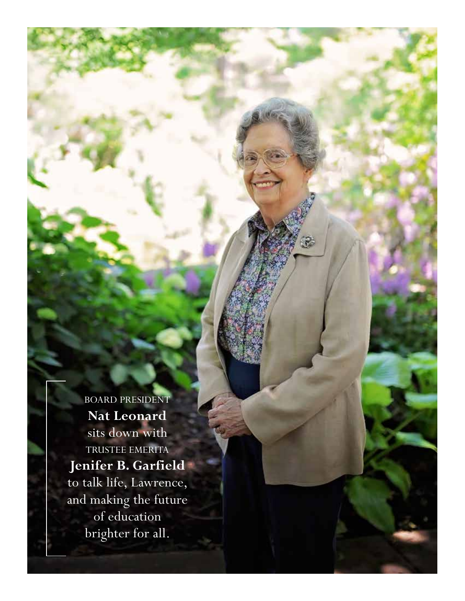BOARD PRESIDENT **Nat Leonard** sits down with TRUSTEE EMERITA **Jenifer B. Garfield** to talk life, Lawrence, and making the future of education brighter for all.